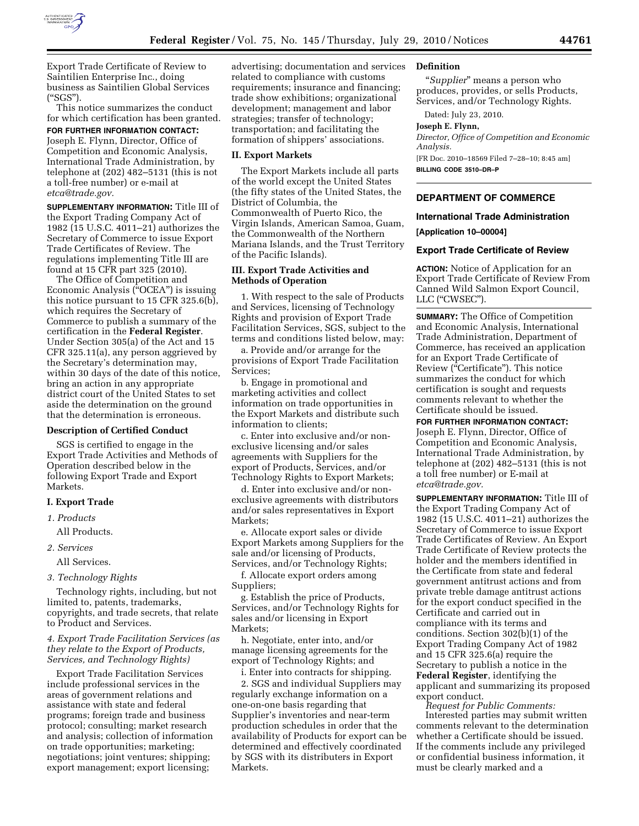

Export Trade Certificate of Review to Saintilien Enterprise Inc., doing business as Saintilien Global Services (''SGS'').

This notice summarizes the conduct for which certification has been granted.

**FOR FURTHER INFORMATION CONTACT:**  Joseph E. Flynn, Director, Office of Competition and Economic Analysis, International Trade Administration, by telephone at (202) 482–5131 (this is not a toll-free number) or e-mail at *[etca@trade.gov.](mailto:etca@trade.gov)* 

**SUPPLEMENTARY INFORMATION:** Title III of the Export Trading Company Act of 1982 (15 U.S.C. 4011–21) authorizes the Secretary of Commerce to issue Export Trade Certificates of Review. The regulations implementing Title III are found at 15 CFR part 325 (2010).

The Office of Competition and Economic Analysis (''OCEA'') is issuing this notice pursuant to 15 CFR 325.6(b), which requires the Secretary of Commerce to publish a summary of the certification in the **Federal Register**. Under Section 305(a) of the Act and 15 CFR 325.11(a), any person aggrieved by the Secretary's determination may, within 30 days of the date of this notice, bring an action in any appropriate district court of the United States to set aside the determination on the ground that the determination is erroneous.

#### **Description of Certified Conduct**

SGS is certified to engage in the Export Trade Activities and Methods of Operation described below in the following Export Trade and Export Markets.

### **I. Export Trade**

- *1. Products*
- All Products.

*2. Services* 

All Services.

*3. Technology Rights* 

Technology rights, including, but not limited to, patents, trademarks, copyrights, and trade secrets, that relate to Product and Services.

## *4. Export Trade Facilitation Services (as they relate to the Export of Products, Services, and Technology Rights)*

Export Trade Facilitation Services include professional services in the areas of government relations and assistance with state and federal programs; foreign trade and business protocol; consulting; market research and analysis; collection of information on trade opportunities; marketing; negotiations; joint ventures; shipping; export management; export licensing;

advertising; documentation and services related to compliance with customs requirements; insurance and financing; trade show exhibitions; organizational development; management and labor strategies; transfer of technology; transportation; and facilitating the formation of shippers' associations.

#### **II. Export Markets**

The Export Markets include all parts of the world except the United States (the fifty states of the United States, the District of Columbia, the Commonwealth of Puerto Rico, the Virgin Islands, American Samoa, Guam, the Commonwealth of the Northern Mariana Islands, and the Trust Territory of the Pacific Islands).

### **III. Export Trade Activities and Methods of Operation**

1. With respect to the sale of Products and Services, licensing of Technology Rights and provision of Export Trade Facilitation Services, SGS, subject to the terms and conditions listed below, may:

a. Provide and/or arrange for the provisions of Export Trade Facilitation Services;

b. Engage in promotional and marketing activities and collect information on trade opportunities in the Export Markets and distribute such information to clients;

c. Enter into exclusive and/or nonexclusive licensing and/or sales agreements with Suppliers for the export of Products, Services, and/or Technology Rights to Export Markets;

d. Enter into exclusive and/or nonexclusive agreements with distributors and/or sales representatives in Export Markets;

e. Allocate export sales or divide Export Markets among Suppliers for the sale and/or licensing of Products, Services, and/or Technology Rights;

f. Allocate export orders among Suppliers;

g. Establish the price of Products, Services, and/or Technology Rights for sales and/or licensing in Export Markets;

h. Negotiate, enter into, and/or manage licensing agreements for the export of Technology Rights; and

i. Enter into contracts for shipping.

2. SGS and individual Suppliers may regularly exchange information on a one-on-one basis regarding that Supplier's inventories and near-term production schedules in order that the availability of Products for export can be determined and effectively coordinated by SGS with its distributers in Export Markets.

# **Definition**

"Supplier" means a person who produces, provides, or sells Products, Services, and/or Technology Rights.

Dated: July 23, 2010.

#### **Joseph E. Flynn,**

*Director, Office of Competition and Economic Analysis.* 

[FR Doc. 2010–18569 Filed 7–28–10; 8:45 am] **BILLING CODE 3510–DR–P** 

# **DEPARTMENT OF COMMERCE**

## **International Trade Administration**

**[Application 10–00004]** 

#### **Export Trade Certificate of Review**

**ACTION:** Notice of Application for an Export Trade Certificate of Review From Canned Wild Salmon Export Council, LLC ("CWSEC").

**SUMMARY:** The Office of Competition and Economic Analysis, International Trade Administration, Department of Commerce, has received an application for an Export Trade Certificate of Review (''Certificate''). This notice summarizes the conduct for which certification is sought and requests comments relevant to whether the Certificate should be issued.

**FOR FURTHER INFORMATION CONTACT:**  Joseph E. Flynn, Director, Office of Competition and Economic Analysis, International Trade Administration, by telephone at (202) 482–5131 (this is not a toll free number) or E-mail at *[etca@trade.gov.](mailto:etca@trade.gov)* 

**SUPPLEMENTARY INFORMATION:** Title III of the Export Trading Company Act of 1982 (15 U.S.C. 4011–21) authorizes the Secretary of Commerce to issue Export Trade Certificates of Review. An Export Trade Certificate of Review protects the holder and the members identified in the Certificate from state and federal government antitrust actions and from private treble damage antitrust actions for the export conduct specified in the Certificate and carried out in compliance with its terms and conditions. Section 302(b)(1) of the Export Trading Company Act of 1982 and 15 CFR 325.6(a) require the Secretary to publish a notice in the **Federal Register**, identifying the applicant and summarizing its proposed export conduct.

*Request for Public Comments:*  Interested parties may submit written comments relevant to the determination whether a Certificate should be issued. If the comments include any privileged or confidential business information, it must be clearly marked and a